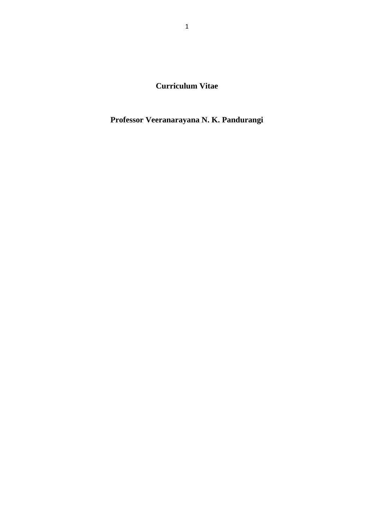**Curriculum Vitae**

**Professor Veeranarayana N. K. Pandurangi**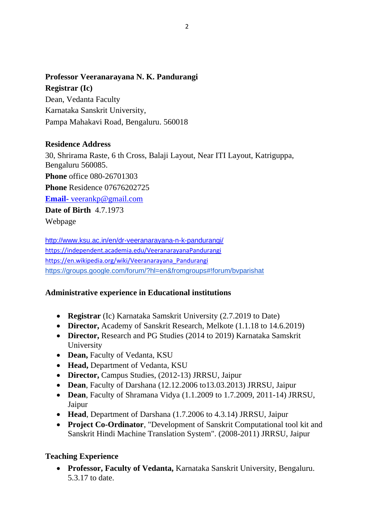## **Professor Veeranarayana N. K. Pandurangi**

**Registrar (Ic)** Dean, Vedanta Faculty Karnataka Sanskrit University, Pampa Mahakavi Road, Bengaluru. 560018

### **Residence Address**

30, Shrirama Raste, 6 th Cross, Balaji Layout, Near ITI Layout, Katriguppa, Bengaluru 560085. **Phone** office 080-26701303 **Phone** Residence 07676202725 **Email-** [veerankp@gmail.com](mailto:veerankp@gmail.com) **Date of Birth** 4.7.1973 Webpage

<http://www.ksu.ac.in/en/dr-veeranarayana-n-k-pandurangi/> <https://independent.academia.edu/VeeranarayanaPandurangi> [https://en.wikipedia.org/wiki/Veeranarayana\\_Pandurangi](https://en.wikipedia.org/wiki/Veeranarayana_Pandurangi) <https://groups.google.com/forum/?hl=en&fromgroups#!forum/bvparishat>

# **Administrative experience in Educational institutions**

- **Registrar** (Ic) Karnataka Samskrit University (2.7.2019 to Date)
- **Director,** Academy of Sanskrit Research, Melkote (1.1.18 to 14.6.2019)
- **Director,** Research and PG Studies (2014 to 2019) Karnataka Samskrit University
- **Dean,** Faculty of Vedanta, KSU
- **Head,** Department of Vedanta, KSU
- **Director,** Campus Studies, (2012-13) JRRSU, Jaipur
- **Dean**, Faculty of Darshana (12.12.2006 to13.03.2013) JRRSU, Jaipur
- **Dean**, Faculty of Shramana Vidya (1.1.2009 to 1.7.2009, 2011-14) JRRSU, Jaipur
- **Head**, Department of Darshana (1.7.2006 to 4.3.14) JRRSU, Jaipur
- **Project Co-Ordinator**, "Development of Sanskrit Computational tool kit and Sanskrit Hindi Machine Translation System". (2008-2011) JRRSU, Jaipur

# **Teaching Experience**

• **Professor, Faculty of Vedanta,** Karnataka Sanskrit University, Bengaluru. 5.3.17 to date.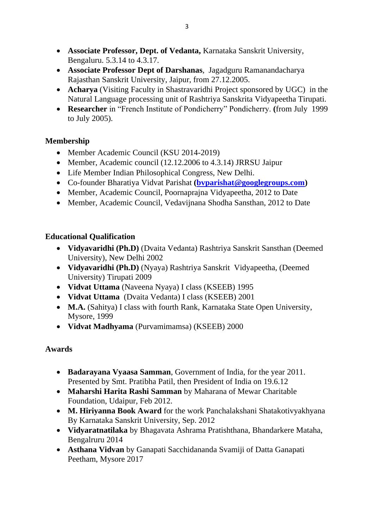- **Associate Professor, Dept. of Vedanta,** Karnataka Sanskrit University, Bengaluru. 5.3.14 to 4.3.17.
- **Associate Professor Dept of Darshanas**, Jagadguru Ramanandacharya Rajasthan Sanskrit University, Jaipur, from 27.12.2005.
- **Acharya** (Visiting Faculty in Shastravaridhi Project sponsored by UGC) in the Natural Language processing unit of Rashtriya Sanskrita Vidyapeetha Tirupati.
- **Researcher** in "French Institute of Pondicherry" Pondicherry. **(**from July 1999 to July 2005).

# **Membership**

- Member Academic Council (KSU 2014-2019)
- Member, Academic council (12.12.2006 to 4.3.14) JRRSU Jaipur
- Life Member Indian Philosophical Congress, New Delhi.
- Co-founder Bharatiya Vidvat Parishat **[\(bvparishat@googlegroups.com\)](mailto:bvparishat@googlegroups.com)**
- Member, Academic Council, Poornaprajna Vidyapeetha, 2012 to Date
- Member, Academic Council, Vedavijnana Shodha Sansthan, 2012 to Date

# **Educational Qualification**

- **Vidyavaridhi (Ph.D)** (Dvaita Vedanta) Rashtriya Sanskrit Sansthan (Deemed University), New Delhi 2002
- **Vidyavaridhi (Ph.D)** (Nyaya) Rashtriya Sanskrit Vidyapeetha, (Deemed University) Tirupati 2009
- **Vidvat Uttama** (Naveena Nyaya) I class (KSEEB) 1995
- **Vidvat Uttama** (Dvaita Vedanta) I class (KSEEB) 2001
- **M.A.** (Sahitya) I class with fourth Rank, Karnataka State Open University, Mysore, 1999
- **Vidvat Madhyama** (Purvamimamsa) (KSEEB) 2000

# **Awards**

- **Badarayana Vyaasa Samman**, Government of India, for the year 2011. Presented by Smt. Pratibha Patil, then President of India on 19.6.12
- **Maharshi Harita Rashi Samman** by Maharana of Mewar Charitable Foundation, Udaipur, Feb 2012.
- **M. Hiriyanna Book Award** for the work Panchalakshani Shatakotivyakhyana By Karnataka Sanskrit University, Sep. 2012
- **Vidyaratnatilaka** by Bhagavata Ashrama Pratishthana, Bhandarkere Mataha, Bengalruru 2014
- **Asthana Vidvan** by Ganapati Sacchidananda Svamiji of Datta Ganapati Peetham, Mysore 2017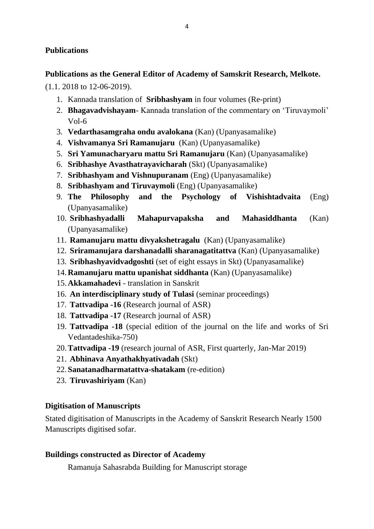## **Publications**

### **Publications as the General Editor of Academy of Samskrit Research, Melkote.**

(1.1. 2018 to 12-06-2019).

- 1. Kannada translation of **Sribhashyam** in four volumes (Re-print)
- 2. **Bhagavadvishayam** Kannada translation of the commentary on 'Tiruvaymoli' Vol-6
- 3. **Vedarthasamgraha ondu avalokana** (Kan) (Upanyasamalike)
- 4. **Vishvamanya Sri Ramanujaru** (Kan) (Upanyasamalike)
- 5. **Sri Yamunacharyaru mattu Sri Ramanujaru** (Kan) (Upanyasamalike)
- 6. **Sribhashye Avasthatrayavicharah** (Skt) (Upanyasamalike)
- 7. **Sribhashyam and Vishnupuranam** (Eng) (Upanyasamalike)
- 8. **Sribhashyam and Tiruvaymoli** (Eng) (Upanyasamalike)
- 9. **The Philosophy and the Psychology of Vishishtadvaita** (Eng) (Upanyasamalike)
- 10. **Sribhashyadalli Mahapurvapaksha and Mahasiddhanta** (Kan) (Upanyasamalike)
- 11. **Ramanujaru mattu divyakshetragalu** (Kan) (Upanyasamalike)
- 12. **Sriramanujara darshanadalli sharanagatitattva** (Kan) (Upanyasamalike)
- 13. **Sribhashyavidvadgoshti** (set of eight essays in Skt) (Upanyasamalike)
- 14.**Ramanujaru mattu upanishat siddhanta** (Kan) (Upanyasamalike)
- 15.**Akkamahadevi** translation in Sanskrit
- 16. **An interdisciplinary study of Tulasi** (seminar proceedings)
- 17. **Tattvadipa -16** (Research journal of ASR)
- 18. **Tattvadipa -17** (Research journal of ASR)
- 19. **Tattvadipa -18** (special edition of the journal on the life and works of Sri Vedantadeshika-750)
- 20.**Tattvadipa -19** (research journal of ASR, First quarterly, Jan-Mar 2019)
- 21. **Abhinava Anyathakhyativadah** (Skt)
- 22.**Sanatanadharmatattva-shatakam** (re-edition)
- 23. **Tiruvashiriyam** (Kan)

# **Digitisation of Manuscripts**

Stated digitisation of Manuscripts in the Academy of Sanskrit Research Nearly 1500 Manuscripts digitised sofar.

### **Buildings constructed as Director of Academy**

Ramanuja Sahasrabda Building for Manuscript storage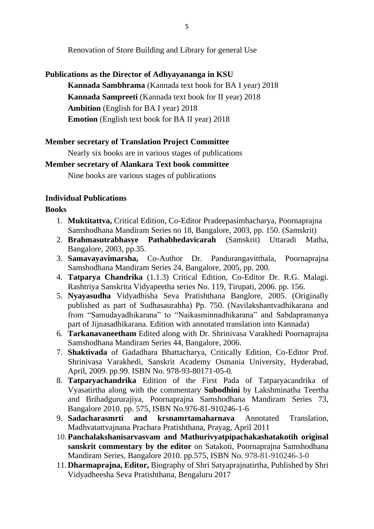Renovation of Store Building and Library for general Use

### **Publications as the Director of Adhyayananga in KSU**

**Kannada Sambhrama** (Kannada text book for BA I year) 2018 **Kannada Sampreeti** (Kannada text book for II year) 2018 **Ambition** (English for BA I year) 2018 **Emotion** (English text book for BA II year) 2018

### **Member secretary of Translation Project Committee**

Nearly six books are in various stages of publications

### **Member secretary of Alankara Text book committee**

Nine books are various stages of publications

### **Individual Publications**

#### **Books**

- 1. **Muktitattva,** Critical Edition, Co-Editor Pradeepasimhacharya, Poornaprajna Samshodhana Mandiram Series no 18, Bangalore, 2003, pp. 150. (Samskrit)
- 2. **Brahmasutrabhasye Pathabhedavicarah** (Samskrit) Uttaradi Matha, Bangalore, 2003, pp.35.
- 3. **Samavayavimarsha,** Co-Author Dr. Pandurangavitthala, Poornaprajna Samshodhana Mandiram Series 24, Bangalore, 2005, pp. 200.
- 4. **Tatparya Chandrika** (1.1.3) Critical Edition, Co-Editor Dr. R.G. Malagi. Rashtriya Sanskrita Vidyapeetha series No. 119, Tirupati, 2006. pp. 156.
- 5. **Nyayasudha** Vidyadhisha Seva Pratishthana Banglore, 2005. (Originally published as part of Sudhasaurabha) Pp. 750. (Navilakshantvadhikarana and from "Samudayadhikarana" to "Naikasminnadhikarana" and Sabdapramanya part of Jijnasadhikarana. Edition with annotated translation into Kannada)
- 6. **Tarkanavaneetham** Edited along with Dr. Shrinivasa Varakhedi Poornaprajna Samshodhana Mandiram Series 44, Bangalore, 2006.
- 7. **Shaktivada** of Gadadhara Bhattacharya, Critically Edition, Co-Editor Prof. Shrinivasa Varakhedi, Sanskrit Academy Osmania University, Hyderabad, April, 2009. pp.99. ISBN No. 978-93-80171-05-0.
- 8. **Tatparyachandrika** Edition of the First Pada of Tatparyacandrika of Vyasatirtha along with the commentary **Subodhini** by Lakshminatha Teertha and Brihadgururajiya, Poornaprajna Samshodhana Mandiram Series 73, Bangalore 2010. pp. 575, ISBN No.976-81-910246-1-6
- 9. **Sadacharasmrti and krsnamrtamaharnava** Annotated Translation, Madhvatattvajnana Prachara Pratishthana, Prayag, April 2011
- 10.**Panchalakshanisarvasvam and Mathurivyatpipachakashatakotih original sanskrit commentary by the editor** on Satakoti, Poornaprajna Samshodhana Mandiram Series, Bangalore 2010. pp.575, ISBN No. 978-81-910246-3-0
- 11.**Dharmaprajna, Editor,** Biography of Shri Satyaprajnatirtha, Published by Shri Vidyadheesha Seva Pratishthana, Bengaluru 2017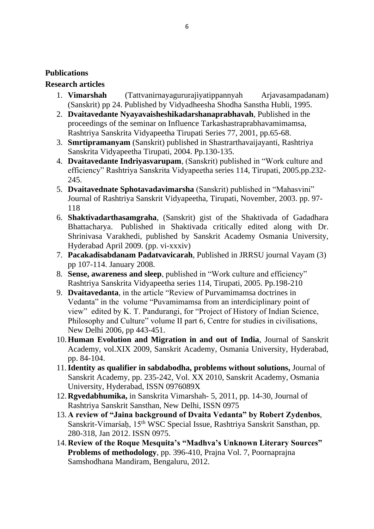### **Publications**

### **Research articles**

- 1. **Vimarshah** (Tattvanirnayagururajiyatippannyah Arjavasampadanam) (Sanskrit) pp 24. Published by Vidyadheesha Shodha Sanstha Hubli, 1995.
- 2. **Dvaitavedante Nyayavaisheshikadarshanaprabhavah**, Published in the proceedings of the seminar on Influence Tarkashastraprabhavamimamsa, Rashtriya Sanskrita Vidyapeetha Tirupati Series 77, 2001, pp.65-68.
- 3. **Smrtipramanyam** (Sanskrit) published in Shastrarthavaijayanti, Rashtriya Sanskrita Vidyapeetha Tirupati, 2004. Pp.130-135.
- 4. **Dvaitavedante Indriyasvarupam**, (Sanskrit) published in "Work culture and efficiency" Rashtriya Sanskrita Vidyapeetha series 114, Tirupati, 2005.pp.232- 245.
- 5. **Dvaitavednate Sphotavadavimarsha** (Sanskrit) published in "Mahasvini" Journal of Rashtriya Sanskrit Vidyapeetha, Tirupati, November, 2003. pp. 97- 118
- 6. **Shaktivadarthasamgraha**, (Sanskrit) gist of the Shaktivada of Gadadhara Bhattacharya. Published in Shaktivada critically edited along with Dr. Shrinivasa Varakhedi, published by Sanskrit Academy Osmania University, Hyderabad April 2009. (pp. vi-xxxiv)
- 7. **Pacakadisabdanam Padatvavicarah**, Published in JRRSU journal Vayam (3) pp 107-114. January 2008.
- 8. **Sense, awareness and sleep**, published in "Work culture and efficiency" Rashtriya Sanskrita Vidyapeetha series 114, Tirupati, 2005. Pp.198-210
- 9. **Dvaitavedanta**, in the article "Review of Purvamimamsa doctrines in Vedanta" in the volume "Puvamimamsa from an interdiciplinary point of view" edited by K. T. Pandurangi, for "Project of History of Indian Science, Philosophy and Culture" volume II part 6, Centre for studies in civilisations, New Delhi 2006, pp 443-451.
- 10.**Human Evolution and Migration in and out of India**, Journal of Sanskrit Academy, vol.XIX 2009, Sanskrit Academy, Osmania University, Hyderabad, pp. 84-104.
- 11.**Identity as qualifier in sabdabodha, problems without solutions,** Journal of Sanskrit Academy, pp. 235-242, Vol. XX 2010, Sanskrit Academy, Osmania University, Hyderabad, ISSN 0976089X
- 12.**Rgvedabhumika,** in Sanskrita Vimarshah- 5, 2011, pp. 14-30, Journal of Rashtriya Sanskrit Sansthan, New Delhi, ISSN 0975
- 13.**A review of "Jaina background of Dvaita Vedanta" by Robert Zydenbos**, Sanskrit-Vimarśaḥ, 15th WSC Special Issue, Rashtriya Sanskrit Sansthan, pp. 280-318, Jan 2012. ISSN 0975.
- 14.**Review of the Roque Mesquita's "Madhva's Unknown Literary Sources" Problems of methodology**, pp. 396-410, Prajna Vol. 7, Poornaprajna Samshodhana Mandiram, Bengaluru, 2012.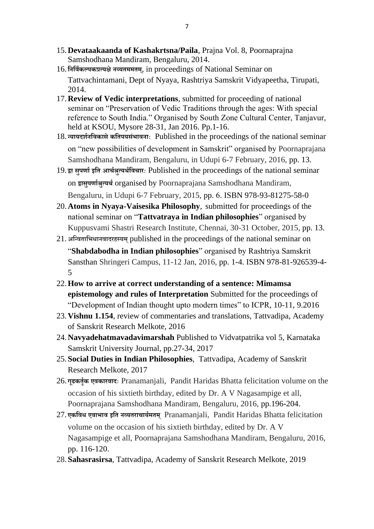- 15.**Devataakaanda of Kashakrtsna/Paila**, Prajna Vol. 8, Poornaprajna Samshodhana Mandiram, Bengaluru, 2014.
- 16. **निनविकल्पकप्रत्यक्षेिव्यतममतम**, in proceedings of National Seminar on **्** Tattvachintamani, Dept of Nyaya, Rashtriya Samskrit Vidyapeetha, Tirupati, 2014.
- 17.**Review of Vedic interpretations**, submitted for proceeding of national seminar on "Preservation of Vedic Traditions through the ages: With special reference to South India." Organised by South Zone Cultural Center, Tanjavur, held at KSOU, Mysore 28-31, Jan 2016. Pp.1-16.
- 18. **न्यायदर्ििनवकासेकनतपयसंभाविााः** Published in the proceedings of the national seminar on "new possibilities of development in Samskrit" organised by Poornaprajana Samshodhana Mandiram, Bengaluru, in Udupi 6-7 February, 2016, pp. 13.
- 19. **द्वा सुपर्ािइनत आर्िश्रुत्यर्िनवर्ाराः** Published in the proceedings of the national seminar on **द्वासुपर्ािश्रुत्यर्ि**organised by Poornaprajana Samshodhana Mandiram, Bengaluru, in Udupi 6-7 February, 2015, pp. 6. ISBN 978-93-81275-58-0
- 20.**Atoms in Nyaya-Vaisesika Philosophy**, submitted for proceedings of the national seminar on "**Tattvatraya in Indian philosophies**" organised by Kuppusvami Shastri Research Institute, Chennai, 30-31 October, 2015, pp. 13.
- 21.**अनन्वतानभधािवादरहस्यम्**published in the proceedings of the national seminar on "**Shabdabodha in Indian philosophies**" organised by Rashtriya Samskrit Sansthan Shringeri Campus, 11-12 Jan, 2016, pp. 1-4. ISBN 978-81-926539-4- 5
- 22.**How to arrive at correct understanding of a sentence: Mimamsa epistemology and rules of Interpretation** Submitted for the proceedings of "Development of Indian thought upto modern times" to ICPR, 10-11, 9.2016
- 23.**Vishnu 1.154**, review of commentaries and translations, Tattvadipa, Academy of Sanskrit Research Melkote, 2016
- 24.**Navyadehatmavadavimarshah** Published to Vidvatpatrika vol 5, Karnataka Samskrit University Journal, pp.27-34, 2017
- 25.**Social Duties in Indian Philosophies**, Tattvadipa, Academy of Sanskrit Research Melkote, 2017
- 26. **गूढकतितक एवकारवादाः** Pranamanjali, Pandit Haridas Bhatta felicitation volume on the occasion of his sixtieth birthday, edited by Dr. A V Nagasampige et all, Poornaprajana Samshodhana Mandiram, Bengaluru, 2016, pp.196-204.
- 27. **एकनवध एवाभाव इनत िव्यतरार्ायिमतम ्** Pranamanjali, Pandit Haridas Bhatta felicitation volume on the occasion of his sixtieth birthday, edited by Dr. A V Nagasampige et all, Poornaprajana Samshodhana Mandiram, Bengaluru, 2016, pp. 116-120.
- 28.**Sahasrasirsa**, Tattvadipa, Academy of Sanskrit Research Melkote, 2019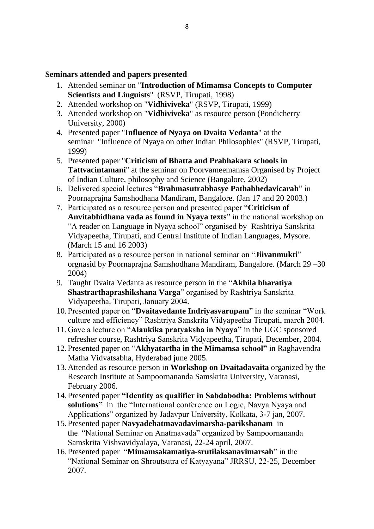### **Seminars attended and papers presented**

- 1. Attended seminar on "**Introduction of Mimamsa Concepts to Computer Scientists and Linguists**" (RSVP, Tirupati, 1998)
- 2. Attended workshop on "**Vidhiviveka**" (RSVP, Tirupati, 1999)
- 3. Attended workshop on "**Vidhiviveka**" as resource person (Pondicherry University, 2000)
- 4. Presented paper "**Influence of Nyaya on Dvaita Vedanta**" at the seminar "Influence of Nyaya on other Indian Philosophies" (RSVP, Tirupati, 1999)
- 5. Presented paper "**Criticism of Bhatta and Prabhakara schools in Tattvacintamani**" at the seminar on Poorvameemamsa Organised by Project of Indian Culture, philosophy and Science (Bangalore, 2002)
- 6. Delivered special lectures "**Brahmasutrabhasye Pathabhedavicarah**" in Poornaprajna Samshodhana Mandiram, Bangalore. (Jan 17 and 20 2003.)
- 7. Participated as a resource person and presented paper "**Criticism of Anvitabhidhana vada as found in Nyaya texts**" in the national workshop on "A reader on Language in Nyaya school" organised by Rashtriya Sanskrita Vidyapeetha, Tirupati, and Central Institute of Indian Languages, Mysore. (March 15 and 16 2003)
- 8. Participated as a resource person in national seminar on "**Jiivanmukti**" orgnasid by Poornaprajna Samshodhana Mandiram, Bangalore. (March 29 –30 2004)
- 9. Taught Dvaita Vedanta as resource person in the "**Akhila bharatiya Shastrarthaprashikshana Varga**" organised by Rashtriya Sanskrita Vidyapeetha, Tirupati, January 2004.
- 10.Presented paper on "**Dvaitavedante Indriyasvarupam**" in the seminar "Work culture and efficiency" Rashtriya Sanskrita Vidyapeetha Tirupati, march 2004.
- 11.Gave a lecture on "**Alaukika pratyaksha in Nyaya"** in the UGC sponsored refresher course, Rashtriya Sanskrita Vidyapeetha, Tirupati, December, 2004.
- 12.Presented paper on "**Akhyatartha in the Mimamsa school"** in Raghavendra Matha Vidvatsabha, Hyderabad june 2005.
- 13.Attended as resource person in **Workshop on Dvaitadavaita** organized by the Research Institute at Sampoornananda Samskrita University, Varanasi, February 2006.
- 14.Presented paper **"Identity as qualifier in Sabdabodha: Problems without solutions"** in the "International conference on Logic, Navya Nyaya and Applications" organized by Jadavpur University, Kolkata, 3-7 jan, 2007.
- 15.Presented paper **Navyadehatmavadavimarsha-parikshanam** in the "National Seminar on Anatmavada" organized by Sampoornananda Samskrita Vishvavidyalaya, Varanasi, 22-24 april, 2007.
- 16.Presented paper "**Mimamsakamatiya-srutilaksanavimarsah**" in the "National Seminar on Shroutsutra of Katyayana" JRRSU, 22-25, December 2007.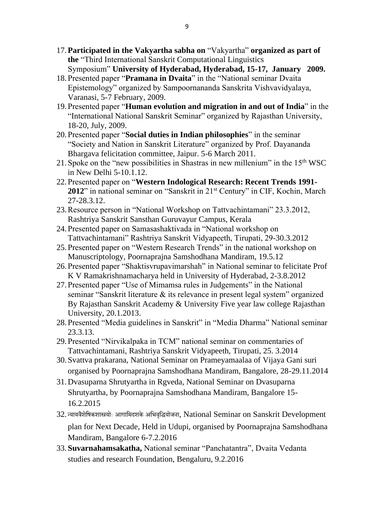- 17.**Participated in the Vakyartha sabha on** "Vakyartha" **organized as part of the** "Third International Sanskrit Computational Linguistics Symposium" **University of Hyderabad, Hyderabad, 15-17, January 2009.**
- 18.Presented paper "**Pramana in Dvaita**" in the "National seminar Dvaita Epistemology" organized by Sampoornananda Sanskrita Vishvavidyalaya, Varanasi, 5-7 February, 2009.
- 19.Presented paper "**Human evolution and migration in and out of India**" in the "International National Sanskrit Seminar" organized by Rajasthan University, 18-20, July, 2009.
- 20.Presented paper "**Social duties in Indian philosophies**" in the seminar "Society and Nation in Sanskrit Literature" organized by Prof. Dayananda Bhargava felicitation committee, Jaipur. 5-6 March 2011.
- 21. Spoke on the "new possibilities in Shastras in new millenium" in the  $15<sup>th</sup> WSC$ in New Delhi 5-10.1.12.
- 22.Presented paper on "**Western Indological Research: Recent Trends 1991-** 2012" in national seminar on "Sanskrit in 21<sup>st</sup> Century" in CIF, Kochin, March 27-28.3.12.
- 23.Resource person in "National Workshop on Tattvachintamani" 23.3.2012, Rashtriya Sanskrit Sansthan Guruvayur Campus, Kerala
- 24.Presented paper on Samasashaktivada in "National workshop on Tattvachintamani" Rashtriya Sanskrit Vidyapeeth, Tirupati, 29-30.3.2012
- 25.Presented paper on "Western Research Trends" in the national workshop on Manuscriptology, Poornaprajna Samshodhana Mandiram, 19.5.12
- 26.Presented paper "Shaktisvrupavimarshah" in National seminar to felicitate Prof K V Ramakrishnamacharya held in University of Hyderabad, 2-3.8.2012
- 27.Presented paper "Use of Mimamsa rules in Judgements" in the National seminar "Sanskrit literature & its relevance in present legal system" organized By Rajasthan Sanskrit Academy & University Five year law college Rajasthan University, 20.1.2013.
- 28.Presented "Media guidelines in Sanskrit" in "Media Dharma" National seminar 23.3.13.
- 29.Presented "Nirvikalpaka in TCM" national seminar on commentaries of Tattvachintamani, Rashtriya Sanskrit Vidyapeeth, Tirupati, 25. 3.2014
- 30.Svattva prakarana, National Seminar on Prameyamaalaa of Vijaya Gani suri organised by Poornaprajna Samshodhana Mandiram, Bangalore, 28-29.11.2014
- 31.Dvasuparna Shrutyartha in Rgveda, National Seminar on Dvasuparna Shrutyartha, by Poornaprajna Samshodhana Mandiram, Bangalore 15- 16.2.2015
- 32. न्यायवैशेषिकशास्त्रयोः आगामिदशके अभिवृद्धियोजना, National Seminar on Sanskrit Development plan for Next Decade, Held in Udupi, organised by Poornaprajna Samshodhana Mandiram, Bangalore 6-7.2.2016
- 33.**Suvarnahamsakatha,** National seminar "Panchatantra", Dvaita Vedanta studies and research Foundation, Bengaluru, 9.2.2016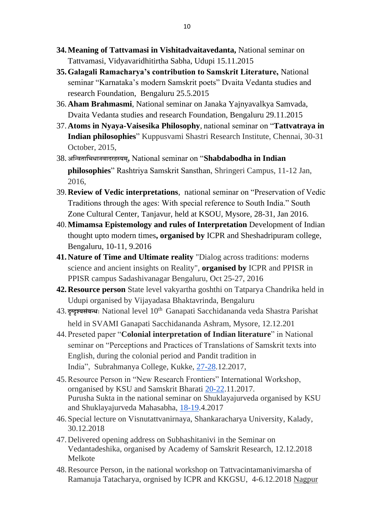- **34.Meaning of Tattvamasi in Vishitadvaitavedanta,** National seminar on Tattvamasi, Vidyavaridhitirtha Sabha, Udupi 15.11.2015
- **35.Galagali Ramacharya's contribution to Samskrit Literature,** National seminar "Karnataka's modern Samskrit poets" Dvaita Vedanta studies and research Foundation, Bengaluru 25.5.2015
- 36.**Aham Brahmasmi**, National seminar on Janaka Yajnyavalkya Samvada, Dvaita Vedanta studies and research Foundation, Bengaluru 29.11.2015
- 37.**Atoms in Nyaya-Vaisesika Philosophy**, national seminar on "**Tattvatraya in Indian philosophies**" Kuppusvami Shastri Research Institute, Chennai, 30-31 October, 2015,
- 38.**अनन्वतानभधािवादरहस्यम,्** National seminar on "**Shabdabodha in Indian philosophies**" Rashtriya Samskrit Sansthan, Shringeri Campus, 11-12 Jan, 2016,
- 39.**Review of Vedic interpretations**, national seminar on "Preservation of Vedic Traditions through the ages: With special reference to South India." South Zone Cultural Center, Tanjavur, held at KSOU, Mysore, 28-31, Jan 2016.
- 40.**Mimamsa Epistemology and rules of Interpretation** Development of Indian thought upto modern times**, organised by** ICPR and Sheshadripuram college, Bengaluru, 10-11, 9.2016
- **41.Nature of Time and Ultimate reality** "Dialog across traditions: moderns science and ancient insights on Reality", **organised by** ICPR and PPISR in PPISR campus Sadashivanagar Bengaluru, Oct 25-27, 2016
- **42.Resource person** State level vakyartha goshthi on Tatparya Chandrika held in Udupi organised by Vijayadasa Bhaktavrinda, Bengaluru
- 43. **दृग्ददृश्यसंबन्धाः** National level 10th Ganapati Sacchidananda veda Shastra Parishat held in SVAMI Ganapati Sacchidananda Ashram, Mysore, 12.12.201
- 44.Preseted paper "**Colonial interpretation of Indian literature**" in National seminar on "Perceptions and Practices of Translations of Samskrit texts into English, during the colonial period and Pandit tradition in India", Subrahmanya College, Kukke, [27-28.](tel:2728)12.2017,
- 45.Resource Person in "New Research Frontiers" International Workshop, ornganised by KSU and Samskrit Bharati [20-22.](tel:2022)11.2017. Purusha Sukta in the national seminar on Shuklayajurveda organised by KSU and Shuklayajurveda Mahasabha, [18-19.](tel:1819)4.2017
- 46.Special lecture on Visnutattvanirnaya, Shankaracharya University, Kalady, 30.12.2018
- 47.Delivered opening address on Subhashitanivi in the Seminar on Vedantadeshika, organised by Academy of Samskrit Research, 12.12.2018 Melkote
- 48.Resource Person, in the national workshop on Tattvacintamanivimarsha of Ramanuja Tatacharya, orgnised by ICPR and KKGSU, 4-6.12.2018 Nagpur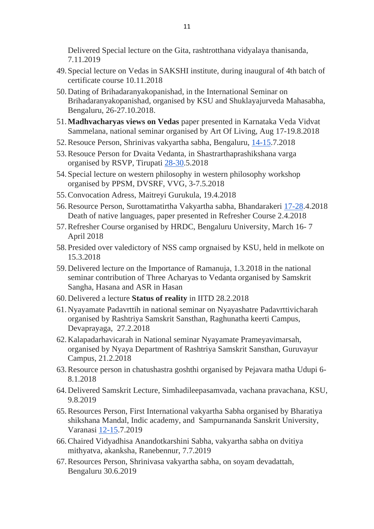Delivered Special lecture on the Gita, rashtrotthana vidyalaya thanisanda, 7.11.2019

- 49.Special lecture on Vedas in SAKSHI institute, during inaugural of 4th batch of certificate course 10.11.2018
- 50.Dating of Brihadaranyakopanishad, in the International Seminar on Brihadaranyakopanishad, organised by KSU and Shuklayajurveda Mahasabha, Bengaluru, 26-27.10.2018.
- 51.**Madhvacharyas views on Vedas** paper presented in Karnataka Veda Vidvat Sammelana, national seminar organised by Art Of Living, Aug 17-19.8.2018
- 52.Resouce Person, Shrinivas vakyartha sabha, Bengaluru, [14-15.](tel:1415)7.2018
- 53.Resouce Person for Dvaita Vedanta, in Shastrarthaprashikshana varga organised by RSVP, Tirupati [28-30.](tel:2830)5.2018
- 54.Special lecture on western philosophy in western philosophy workshop organised by PPSM, DVSRF, VVG, 3-7.5.2018
- 55.Convocation Adress, Maitreyi Gurukula, 19.4.2018
- 56.Resource Person, Surottamatirtha Vakyartha sabha, Bhandarakeri [17-28.](tel:1728)4.2018 Death of native languages, paper presented in Refresher Course 2.4.2018
- 57.Refresher Course organised by HRDC, Bengaluru University, March 16- 7 April 2018
- 58.Presided over valedictory of NSS camp orgnaised by KSU, held in melkote on 15.3.2018
- 59.Delivered lecture on the Importance of Ramanuja, 1.3.2018 in the national seminar contribution of Three Acharyas to Vedanta organised by Samskrit Sangha, Hasana and ASR in Hasan
- 60.Delivered a lecture **Status of reality** in IITD 28.2.2018
- 61.Nyayamate Padavrttih in national seminar on Nyayashatre Padavrttivicharah organised by Rashtriya Samskrit Sansthan, Raghunatha keerti Campus, Devaprayaga, 27.2.2018
- 62.Kalapadarhavicarah in National seminar Nyayamate Prameyavimarsah, organised by Nyaya Department of Rashtriya Samskrit Sansthan, Guruvayur Campus, 21.2.2018
- 63.Resource person in chatushastra goshthi organised by Pejavara matha Udupi 6- 8.1.2018
- 64.Delivered Samskrit Lecture, Simhadileepasamvada, vachana pravachana, KSU, 9.8.2019
- 65.Resources Person, First International vakyartha Sabha organised by Bharatiya shikshana Mandal, Indic academy, and Sampurnananda Sanskrit University, Varanasi [12-15.](tel:1215)7.2019
- 66.Chaired Vidyadhisa Anandotkarshini Sabha, vakyartha sabha on dvitiya mithyatva, akanksha, Ranebennur, 7.7.2019
- 67.Resources Person, Shrinivasa vakyartha sabha, on soyam devadattah, Bengaluru 30.6.2019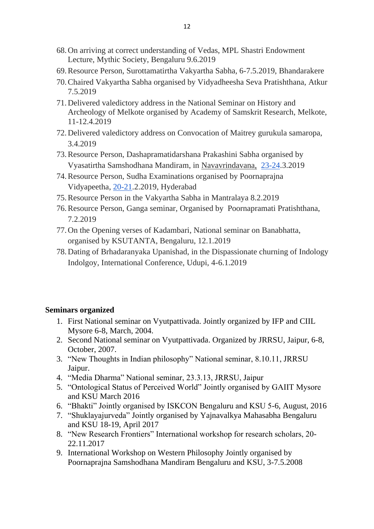- 68.On arriving at correct understanding of Vedas, MPL Shastri Endowment Lecture, Mythic Society, Bengaluru 9.6.2019
- 69.Resource Person, Surottamatirtha Vakyartha Sabha, 6-7.5.2019, Bhandarakere
- 70.Chaired Vakyartha Sabha organised by Vidyadheesha Seva Pratishthana, Atkur 7.5.2019
- 71.Delivered valedictory address in the National Seminar on History and Archeology of Melkote organised by Academy of Samskrit Research, Melkote, 11-12.4.2019
- 72.Delivered valedictory address on Convocation of Maitrey gurukula samaropa, 3.4.2019
- 73.Resource Person, Dashapramatidarshana Prakashini Sabha organised by Vyasatirtha Samshodhana Mandiram, in Navavrindavana, [23-24.](tel:2324)3.2019
- 74.Resource Person, Sudha Examinations organised by Poornaprajna Vidyapeetha, [20-21.](tel:2021)2.2019, Hyderabad
- 75.Resource Person in the Vakyartha Sabha in Mantralaya 8.2.2019
- 76.Resource Person, Ganga seminar, Organised by Poornapramati Pratishthana, 7.2.2019
- 77.On the Opening verses of Kadambari, National seminar on Banabhatta, organised by KSUTANTA, Bengaluru, 12.1.2019
- 78.Dating of Brhadaranyaka Upanishad, in the Dispassionate churning of Indology Indolgoy, International Conference, Udupi, 4-6.1.2019

#### **Seminars organized**

- 1. First National seminar on Vyutpattivada. Jointly organized by IFP and CIIL Mysore 6-8, March, 2004.
- 2. Second National seminar on Vyutpattivada. Organized by JRRSU, Jaipur, 6-8, October, 2007.
- 3. "New Thoughts in Indian philosophy" National seminar, 8.10.11, JRRSU Jaipur.
- 4. "Media Dharma" National seminar, 23.3.13, JRRSU, Jaipur
- 5. "Ontological Status of Perceived World" Jointly organised by GAIIT Mysore and KSU March 2016
- 6. "Bhakti" Jointly organised by ISKCON Bengaluru and KSU 5-6, August, 2016
- 7. "Shuklayajurveda" Jointly organised by Yajnavalkya Mahasabha Bengaluru and KSU 18-19, April 2017
- 8. "New Research Frontiers" International workshop for research scholars, 20- 22.11.2017
- 9. International Workshop on Western Philosophy Jointly organised by Poornaprajna Samshodhana Mandiram Bengaluru and KSU, 3-7.5.2008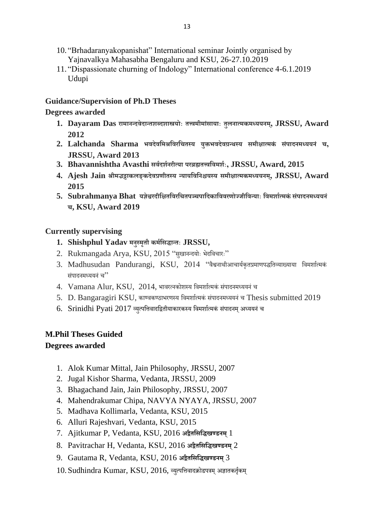- 10. "Brhadaranyakopanishat" International seminar Jointly organised by Yajnavalkya Mahasabha Bengaluru and KSU, 26-27.10.2019
- 11. "Dispassionate churning of Indology" International conference 4-6.1.2019 Udupi

## **Guidance/Supervision of Ph.D Theses**

## **Degrees awarded**

- **1. Dayaram Das रामािन्दवेदान्तर्ब्दर्ास्त्रय ाः तत्त्वमीमांसायााः तुलिात्मकमध्ययिम,् JRSSU, Award 2012**
- **2. Lalchanda Sharma भवदेवनमश्रनवरनर्तस्य युक्तभवदेवग्रन्र्स्य समीक्षात्मकं संपादिमध्ययिं र्, JRSSU, Award 2013**
- **3. Bhavannishtha Avasthi सविदर्ििरीत्या परब्रह्मतत्त्वनवमर्िाः, JRSSU, Award, 2015**
- **4. Ajesh Jain श्रीमद्भट्टाकलङ्कदेवप्रर्ीतस्य न्यायनवनिश्चयस्य समीक्षात्मकमध्ययिम, ् JRSSU, Award 2015**
- **5. Subrahmanya Bhat यज्ञेश्वरदीनक्षतनवरनर्तपञ्र्पानदकानववरर् ज्जीनवन्यााः नवमर्ाित्मकं संपादिमध्ययिं र्, KSU, Award 2019**

### **Currently supervising**

- **1. Shishphul Yadav मिुस्मततौ कमिनसद्धान्ताः JRSSU,**
- 2. Rukmangada Arya, KSU, 2015 "सुखानन्दयोः भेदविचारः"
- 3. Madhusudan Pandurangi, KSU, 2014 "वैश्वनाथीआचार्यकृतप्रमाणपद्धतिव्याख्याया विमर्शात्मकं संपादनिध्ययनं च"
- $4.$  Vamana Alur, KSU,  $2014$ , भावरत्नकोशस्य विमर्शात्मकं संपादनमध्ययनं च
- 5. D. Bangaragiri KSU, काण्वकण्ठाभरणस्य विमर्शात्मकं संपादनमध्ययनं च Thesis submitted 2019
- 6. Srinidhi Pyati 2017 व्युत्पत्तिवादद्वितीयाकारकस्य विमर्शात्मकं संपादनम् अध्ययनं च

# **M.Phil Theses Guided**

### **Degrees awarded**

- 1. Alok Kumar Mittal, Jain Philosophy, JRSSU, 2007
- 2. Jugal Kishor Sharma, Vedanta, JRSSU, 2009
- 3. Bhagachand Jain, Jain Philosophy, JRSSU, 2007
- 4. Mahendrakumar Chipa, NAVYA NYAYA, JRSSU, 2007
- 5. Madhava Kollimarla, Vedanta, KSU, 2015
- 6. Alluri Rajeshvari, Vedanta, KSU, 2015
- 7. Ajitkumar P, Vedanta, KSU, 2016 **अद्वैतनसनद्धखण्डिम्**1
- 8. Pavitrachar H, Vedanta, KSU, 2016 **अद्वैतनसनद्धखण्डिम्**2
- 9. Gautama R, Vedanta, KSU, 2016 **अद्वैतनसनद्धखण्डिम्**3
- $10.$ Sudhindra Kumar, KSU,  $2016$ , व्युत्पत्तिवादक्रोडपत्रम् अज्ञातकर्तृकम्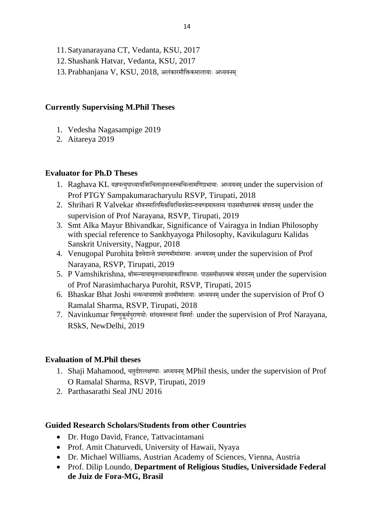- 11.Satyanarayana CT, Vedanta, KSU, 2017
- 12.Shashank Hatvar, Vedanta, KSU, 2017
- $13.$ Prabhanjana V, KSU,  $2018$ , अलंकारमौक्तिकमालायाः अध्ययनम्

### **Currently Supervising M.Phil Theses**

- 1. Vedesha Nagasampige 2019
- 2. Aitareya 2019

## **Evaluator for Ph.D Theses**

- 1. Raghava KL यज्ञपत्युपाध्यायविरचितानुमानतत्त्वचिन्तामणिप्रभायाः अध्ययनम् under the supervision of Prof PTGY Sampakumaracharyulu RSVP, Tirupati, 2018
- $2.$  Shrihari R Valvekar श्रीवनमालिमिश्रविरचितवेदान्तचण्डमारुतस्य पाठसमीक्षात्मकं संपादनम under the supervision of Prof Narayana, RSVP, Tirupati, 2019
- 3. Smt Alka Mayur Bhivandkar, Significance of Vairagya in Indian Philosophy with special reference to Sankhyayoga Philosophy, Kavikulaguru Kalidas Sanskrit University, Nagpur, 2018
- 4. Venugopal Purohita द्वैतवेदान्ते प्रमाणमीमांसायाः अध्ययनम् under the supervision of Prof Narayana, RSVP, Tirupati, 2019
- 5. P Vamshikrishna, श्रीमन्न्यायामतव्याख्याकाशिकायाः पाठसमीक्षात्मकं संपादनम under the supervision of Prof Narasimhacharya Purohit, RSVP, Tirupati, 2015
- 6. Bhaskar Bhat Joshi नव्यन्यायशास्त्रे ज्ञानमीमांसायाः अध्ययनम् under the supervision of Prof O Ramalal Sharma, RSVP, Tirupati, 2018
- 7. Navinkumar विष्णुकुर्मपुराणयोः सांख्यतत्त्वानां विमर्शः under the supervision of Prof Narayana, RSkS, NewDelhi, 2019

# **Evaluation of M.Phil theses**

- 1. Shaji Mahamood, चतुर्दशलक्षण्याः अध्ययनम् MPhil thesis, under the supervision of Prof O Ramalal Sharma, RSVP, Tirupati, 2019
- 2. Parthasarathi Seal JNU 2016

### **Guided Research Scholars/Students from other Countries**

- Dr. Hugo David, France, Tattvacintamani
- Prof. Amit Chaturvedi, University of Hawaii, Nyaya
- Dr. Michael Williams, Austrian Academy of Sciences, Vienna, Austria
- Prof. Dilip Loundo, **Department of Religious Studies, Universidade Federal de Juiz de Fora-MG, Brasil**